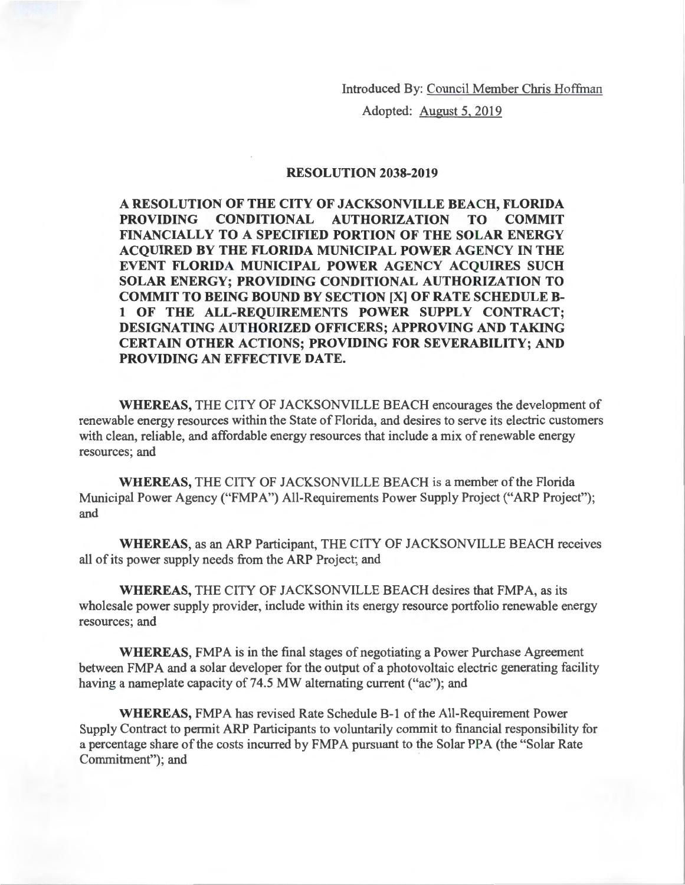Introduced By: Council Member Chris Hoffman

Adopted: August 5, 2019

## **RESOLUTION 2038-2019**

**A RESOLUTION OF THE CITY OF JACKSONVILLE BEACH, FLORIDA PROVIDING CONDITIONAL AUTHORIZATION TO COMMIT FINANCIALLY TO A SPECIFIED PORTION OF THE SOLAR ENERGY ACQUIRED BY THE FLORIDA MUNICIPAL POWER AGENCY IN THE EVENT FLORIDA MUNICIPAL POWER AGENCY ACQUIRES SUCH SOLAR ENERGY; PROVIDING CONDITIONAL AUTHORIZATION TO COMMIT TO BEING BOUND BY SECTION [X] OF RATE SCHEDULE Bl OF THE ALL-REQUIREMENTS POWER SUPPLY CONTRACT; DESIGNATING AUTHORIZED OFFICERS; APPROVING AND TAKING CERTAIN OTHER ACTIONS; PROVIDING FOR SEVERABILITY; AND PROVIDING AN EFFECTIVE DATE.** 

**WHEREAS,** THE CITY OF JACKSONVILLE BEACH encourages the development of renewable energy resources within the State of Florida, and desires to serve its electric customers with clean, reliable, and affordable energy resources that include a mix of renewable energy resources; and

**WHEREAS,** THE CITY OF JACKSONVILLE BEACH is a member of the Florida Municipal Power Agency ("FMPA") All-Requirements Power Supply Project ("ARP Project"); and

**WHEREAS,** as an ARP Participant, THE CITY OF JACKSONVILLE BEACH receives all of its power supply needs from the ARP Project; and

**WHEREAS,** THE CITY OF JACKSONVILLE BEACH desires that FMPA, as its wholesale power supply provider, include within its energy resource portfolio renewable energy resources; and

WHEREAS, FMPA is in the final stages of negotiating a Power Purchase Agreement between FMPA and a solar developer for the output of a photovoltaic electric generating facility having a nameplate capacity of 74.5 MW alternating current ("ac"); and

**WHEREAS,** FMPA has revised Rate Schedule B-1 of the All-Requirement Power Supply Contract to permit ARP Participants to voluntarily commit to financial responsibility for a percentage share of the costs incurred by FMPA pursuant to the Solar PPA (the "Solar Rate" Commitment"); and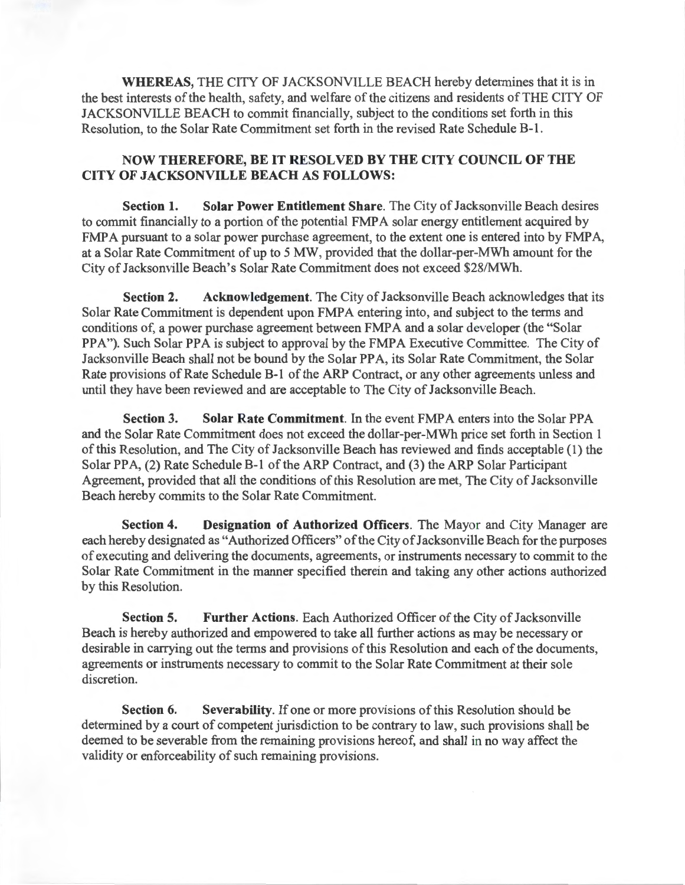**WHEREAS,** THE CITY OF JACKSONVILLE BEACH hereby determines that it is in the best interests of the health, safety, and welfare of the citizens and residents of THE CITY OF JACKSONVILLE BEACH to commit financially, subject to the conditions set forth in this Resolution, to the Solar Rate Commitment set forth in the revised Rate Schedule B-1.

## **NOW THEREFORE, BE IT RESOLVED BY THE CITY COUNCIL OF THE CITY OF JACKSONVILLE BEACH AS FOLLOWS:**

**Section 1. Solar Power Entitlement Share.** The City of Jacksonville Beach desires to commit financially to a portion of the potential FMPA solar energy entitlement acquired by FMPA pursuant to a solar power purchase agreement, to the extent one is entered into by FMPA, at a Solar Rate Commitment of up to 5 MW, provided that the dollar-per-MWh amount for the City of Jacksonville Beach's Solar Rate Commitment does not exceed \$28/MWh.

**Section 2.** Acknowledgement. The City of Jacksonville Beach acknowledges that its Solar Rate Commitment is dependent upon FMPA entering into, and subject to the terms and conditions of, a power purchase agreement between FMPA and a solar developer (the "Solar PPA"). Such Solar PPA is subject to approval by the FMPA Executive Committee. The City of Jacksonville Beach shall not be bound by the Solar PPA, its Solar Rate Commitment, the Solar Rate provisions of Rate Schedule B-1 of the ARP Contract, or any other agreements unless and until they have been reviewed and are acceptable to The City of Jacksonville Beach.

**Section 3.** Solar Rate Commitment. In the event FMPA enters into the Solar PPA and the Solar Rate Commitment does not exceed the dollar-per-MWh price set forth in Section 1 of this Resolution, and The City of Jacksonville Beach has reviewed and finds acceptable (1) the Solar PPA, (2) Rate Schedule B-1 of the ARP Contract, and (3) the ARP Solar Participant Agreement, provided that all the conditions of this Resolution are met, The City of Jacksonville Beach hereby commits to the Solar Rate Commitment.

**Section 4. Designation of Authorized Officers.** The Mayor and City Manager are each hereby designated as "Authorized Officers" of the City of Jacksonville Beach for the purposes of executing and delivering the documents, agreements, or instruments necessary to commit to the Solar Rate Commitment in the manner specified therein and taking any other actions authorized by this Resolution.

**Section 5. Further Actions.** Each Authorized Officer of the City of Jacksonville Beach is hereby authorized and empowered to take all further actions as may be necessary or desirable in carrying out the terms and provisions of this Resolution and each of the documents, agreements or instruments necessary to commit to the Solar Rate Commitment at their sole discretion.

**Section 6. Severability.** If one or more provisions of this Resolution should be determined by a court of competent jurisdiction to be contrary to law, such provisions shall be deemed to be severable from the remaining provisions hereof, and shall in no way affect the validity or enforceability of such remaining provisions.